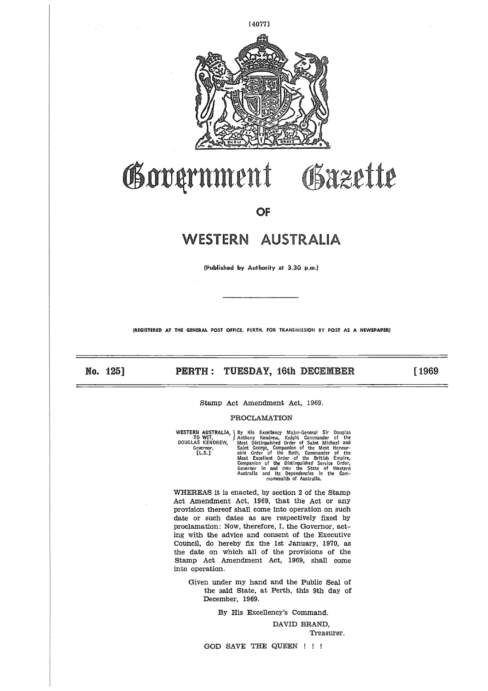

# Government Gazette

**OF** 

# WESTERN AUSTRALIA

**(Published by Authority at 3.30 p.m.)**

**(REGISTERED AT THE GENERAL POST OFFICE, PERTH, FOR TRANSMISSION BY POST** AS A **NEWSPAPER)**

Professional

**No. 125] 32.4, PERTH: TUESDAY, 16th DECEMBER** 51969

# Stamp Act Amendment Act, 1969,

# PROCLAMATION

|                     | PERTH : TUESDAY, 16th DECEMBER                                                                                                                                                                                                                                                                                                                                                                                                                                                                            |
|---------------------|-----------------------------------------------------------------------------------------------------------------------------------------------------------------------------------------------------------------------------------------------------------------------------------------------------------------------------------------------------------------------------------------------------------------------------------------------------------------------------------------------------------|
|                     | Stamp Act Amendment Act, 1969.<br>PROCLAMATION                                                                                                                                                                                                                                                                                                                                                                                                                                                            |
| Governor.<br>[L.S.] | WESTERN AUSTRALIA, J By His Excellency Major-General Sir Douglas<br>TO WIT, J Anthony Kendrew, Knight Commander of the<br>DOUGLAS KENDREW, Most Distinguished Order of Saint Michael and<br>Saint George, Companion of the Most Honour-<br>able Order of the Bath, Commander of the<br>Most Excellent Order of the British Empire,<br>Companion of the Distinguished Service Order,<br>Governor in and over the State of Western<br>Australia and its Dependencies in the Com-<br>monwealth of Australia. |

WHEREAS it is enacted, by section 2 of the Stamp Act Amendment Act, 1969, that the Act or any provision thereof shall come into operation on such date or such dates as are respectively fixed by proclamation: Now, therefore, I, the Governor, acting with the advice and consent of the Executive Council, do hereby fix the 1st January, 1970, as the date on which all of the provisions of the Stamp Act Amendment Act, 1969, shall come into operation.

Given under my hand and the Public Seal of the said State, at Perth, this 9th day of December, 1969.

By His Excellency's Command.

DAVID BRAND, Treasurer.

GOD SAVE THE QUEEN ! ! !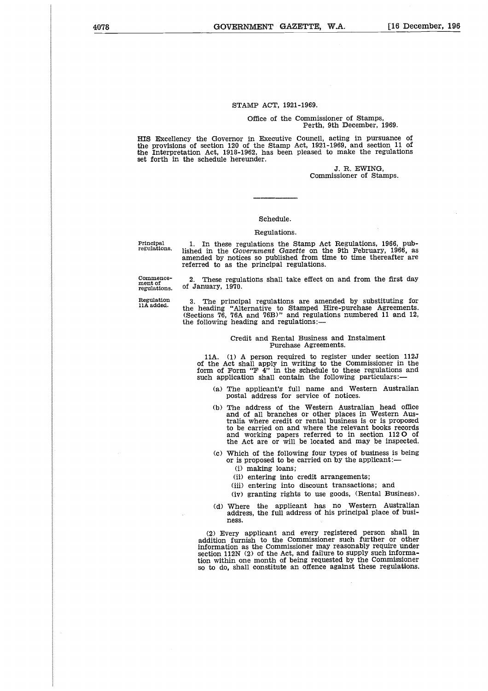# STAMP ACT, 1921-1969.

#### Office of the Commissioner of Stamps, Perth, 9th December, 1969.

HIS Excellency the Governor in Executive Council, acting in pursuance of the provisions of section 120 of the Stamp Act, 1921-1969, and section 11  $\,\circ$ the Interpretation Act, 1918-1962, has been pleased to make the regulations set forth in the schedule hereunder.

> J. R. EWING, Commissioner of Stamps.

### Schedule.

#### Regulations.

Principal regulations.

1. In these regulations the Stamp Act Regulations, 1966, pub-lished in the *Government Gazette* on the 9th February, 1966, as amended by notices so published from time to time thereafter are referred to as the principal regulations.

Commence-ment of regulations.

Regulation 11A added.

2. These regulations shall take effect on and from the first day of January, 1970.

3. The principal regulations are amended by substituting for the heading "Alternative to Stamped Hire-purchase Agreements. (Sections '76, '76A and 76B)" and regulations numbered 11 and 12, the following heading and regulations:—

#### Credit and Rental Business and Instalment Purchase Agreements.

11A. (1) A person required to register under section 112J of the Act shall apply in writing to the Commissioner in the form of Form "F  $4$ " in the schedule to these regulations and such application shall contain the following particulars:

- (a) The applicant's full name and Western Australian postal address for service of notices.
- (b) The address of the Western Australian head office and of all branches or other places in Western Australia where credit or rental business is or is proposed to be carried on and where the relevant books records and working papers referred to in section 112 O of the Act are or will be located and may be inspected.
- (c) Which of the following four types of business is being or is proposed to be carried on by the applicant:—
	- (i) making loans;
	- (ii) entering into credit arrangements;
	- (iii) entering into discount transactions; and
	- (iv) granting rights to use goods, (Rental Business).
- (d) Where the applicant has no Western Australian address, the full address of his principal place of business.

(2) Every applicant and every registered person shall in addition furnish to the Commissioner such further or other information as the Commissioner may reasonably require under section 112N (2) of the Act, and failure to supply such information within one month of being requested by the Commissioner so to do, shall constitute an offence against these regulations.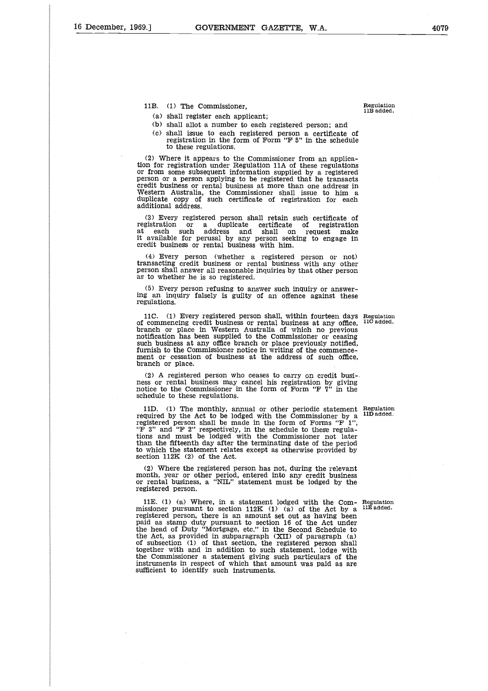- 
- (b) shall allot a number to each registered person; and
- (c) shall issue to each registered person a certificate of registration in the form of Form "F 5" in the schedule to these regulations.

(2) Where it appears to the Commissioner from an application for registration under Regulation 11A of these regulations or from some subsequent information supplied by a registered person or a person applying to be registered that he transacts credit business or rental business at more than one address in Western Australia, the Commissioner shall issue to him a duplicate copy of such certificate of registration for each additional address.

(3) Every registered person shall retain such certificate of registration or a duplicate certificate of registration at each such address and shall on request make it available for perusal by any person seeking to engage in credit business or rental business with him.

(4) Every person (whether a registered person or not) transacting credit business or rental business with any other person shall answer all reasonable inquiries by that other person as to whether he is so registered.

(5) Every person refusing to answer such inquiry or answering an inquiry falsely is guilty of an offence against these regulations.

11C. (1) Every registered person shall, within fourteen days Regulation 110 added. of commencing credit business or rental business at any office, branch or place in Western Australia of which no previous notification has been supplied to the Commissioner or ceasing such business at any office branch or place previously notified, furnish to the Commissioner notice in writing of the commencement or cessation of business at the address of such office, branch or place.

(2) A registered person who ceases to carry on credit business or rental business may cancel his registration by giving notice to the Commissioner in the form of Form "F 7" in the schedule to these regulations.

11D. (1) The monthly, annual or other periodic statement Regulation required by the Act to be lodged with the Commissioner by a  $^{11D}$  added. registered person shall be made in the form of Forms "F  $1$ " "F 3" and "F 2" respectively, in the schedule to these regulations and must be lodged with the Commissioner not later than the fifteenth day after the terminating date of the period to which the statement relates except as otherwise provided by section 112K (2) of the Act.

(2) Where the registered person has not, during the relevant month, year or other period, entered into any credit business or rental business, a "NIL" statement must be lodged by the registered person.

registered person, there is an amount set out as having been paid as stamp duty pursuant to section 16 of the Act under the head of Duty "Mortgage, etc." in the Second Schedule to the Act, as provided in subparagraph (XII) of paragraph (a) of subsection (1) of that section, the registered person shall together with and in addition to such statement, lodge with the Commissioner a statement giving such particulars of the instruments in respect of which that amount was paid as are

sufficient to identify such instruments.

11E. (1) (a) Where, in a statement lodged with the Com- Regulation missioner pursuant to section  $112K$  (1) (a) of the Act by a <sup>11E added.</sup>

Regulation 11B added.

1.] GOVERNMEN<br>
11B. (1) The Commissioner,<br>
(a) shall register each appli<br>
(b) shall allot a number to<br>
(c) shall issue to each reg (a) shall register each applicant;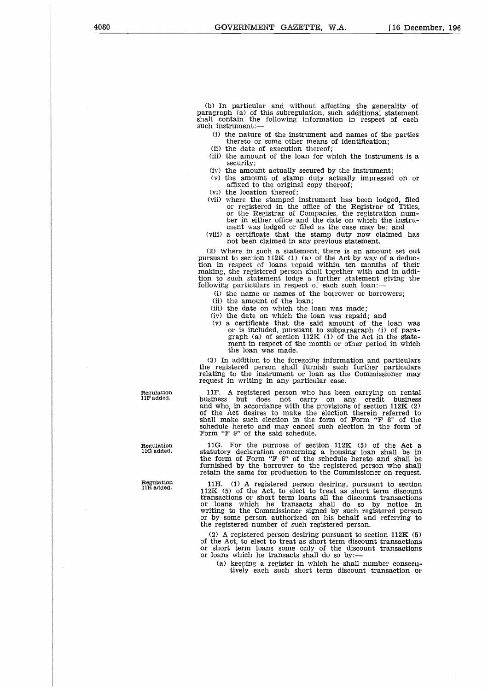(b) In particular and without affecting the generality of paragraph (a) of this subregulation, such additional statement shall contain the following information in respect of each such instrument:-

(i) the nature of the instrument and names of the parties thereto or some other means of identification;

- (ii) the date of execution thereof;
- (iii) the amount of the loan for which the instrument is a security;
- (iv) the amount actually secured by the instrument;
- (v) the amount of stamp duty actually impressed on or affixed to the original copy thereof;
- (vi) the location thereof;
- (vii) where the stamped instrument has been lodged, filed or registered in the office of the Registrar of Titles or the Registrar of Companies, the registration number in either office and the date on which the instrument was lodged or filed as the case may be; and
- (viii) a certificate that the stamp duty now claimed has not been claimed in any previous statement.

(2) Where in such a statement, there is an amount set out pursuant to section 112K (1) (a) of the Act by way of a deduc-tion in respect of loans repaid within ten months of their making, the registered person shall together with and in addition to such statement lodge a further statement giving the following particulars in respect of each such loan:-

(i) the name or names of the borrower or borrowers;

- (ii) the amount of the loan;
- (iii) the date on which the loan was made;
- (iv) the date on which the loan was repaid; and
- (v) a certificate that the said amount of the loan was or is included, pursuant to subparagraph (i) of paragraph (a) of section 112K (1) of the Act in the statement in respect of the month or other period in which the loan was made.

(3) In addition to the foregoing information and particulars the registered person shall furnish such further particulars relating to the instrument or loan as the Commissioner may request in writing in any particular case.

11F. A registered person who has been carrying on rental business but does not carry on any credit business and who, in accordance with the provisions of section 112K (2) of the Act desires to make the election therein referred to shall make such election in the form of Form "F 8" of the schedule hereto and may cancel such election in the form of Form "F 9" of the said schedule.

11G. For the purpose of section 112K (5) of the Act a statutory declaration concerning a housing loan shall be in the form of Form "F 6" of the schedule hereto and shall be furnished by the borrower to the registered person who shall retain the same for production to the Commissioner on request.

11H. (1) A registered person desiring, pursuant to section 112K (5) of the Act, to elect to treat as short term discount transactions or short term loans all the discount transactions or loans which he transacts shall do so by notice in writing to the Commissioner signed by such registered person or by some person authorized on his behalf and referring to the registered number of such registered person.

2) A registered person desiring pursuant to section  $112K$  (5) of the Act, to elect to treat as short term discount transactions or short term loans some only of the discount transactions or loans which he transacts shall do so by:

(a) keeping a register in which he shall number consecutively each such short term discount transaction or

Regulation 11F added.

Regulation 110 added.

Regulation 11H added.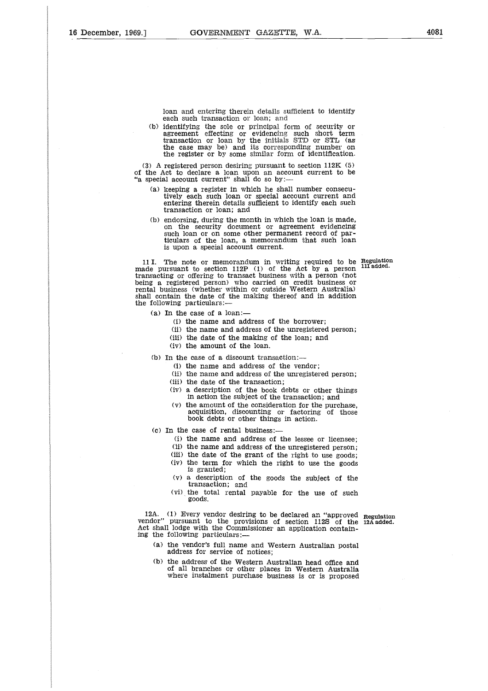loan and entering therein details sufficient to identify each such transaction or loan; and

(b) identifying the sole or principal form of security or agreement effecting or evidencing such short term transaction or loan by the initials STD or STL (as the case may be) and its corresponding number on the register or by some similar form of identification.

(3) A registered person desiring pursuant to section 112K (5) of the Act to declare a loan upon an account current to be "a special account current" shall do so by:

- (a) keeping a register in which he shall number consecutively each such loan or special account current and entering therein details sufficient to identify each such transaction or loan; and
- (b) endorsing, during the month in which the loan is made, on the security document or agreement evidencing such loan or on some other permanent record of particulars of the loan, a memorandum that such loan is upon a special account current.

11 I. The note or memorandum in writing required to be **Regulation** 11 I. The note or memorandum in writing required to be Regulation made pursuant to section 112P (1) of the Act by a person <sup>111 added.</sup> transacting or offering to transact business with a person (not being a registered person) who carried on credit business or rental business (whether within or outside Western Australia) shall contain the date of the making thereof and in addition the following particulars:

- (a) In the case of a loan:—
	- (i) the name and address of the borrower;
	- (ii) the name and address of the unregistered person;
	- (iii) the date of the making of the loan; and
	- (iv) the amount of the loan.

(b) In the case of a discount transaction:—

- (i) the name and address of the vendor;
- (ii) the name and address of the unregistered person;
- (iii) the date of the transaction;
- (iv) a description of the book debts or other things in action the subject of the transaction; and
- (v) the amount of the consideration for the purchase, acquisition, discounting or factoring of those book debts or other things in action.

(c) In the case of rental business:—

- (i) the name and address of the lessee or licensee;
- (ii) the name and address of the unregistered person;
- (iii) the date of the grant of the right to use goods;
- (iv) the term for which the right to use the goods is granted;
- (v) a description of the goods the subject of the transaction; and
- (vi) the total rental payable for the use of such goods.

12A. (1) Every vendor desiring to be declared an "approved **Regulation** vendor" pursuant to the provisions of section 112S of the **12A added.** Act shall lodge with the Commissioner an application containing the following particulars:

- (a) the vendor's full name and Western Australian postal address for service of notices;
- (b) the address of the Western Australian head office and of all branches or other places in Western Australia where instalment purchase business is or is proposed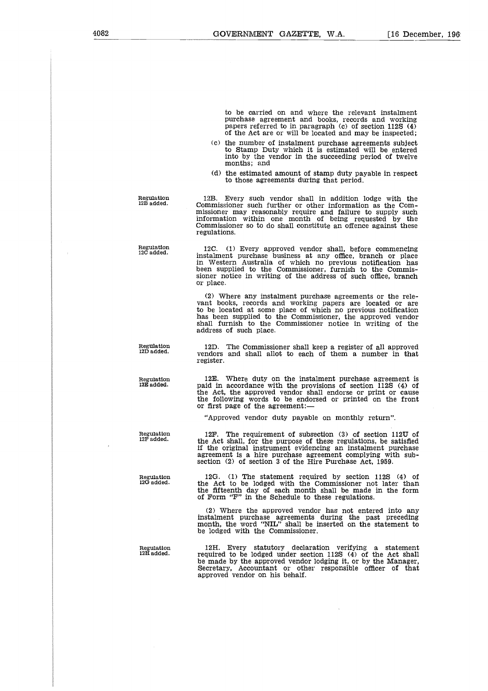to be carried on and where the relevant instalment purchase agreement and books, records and working papers referred to in paragraph (c) of section 1125 (4) of the Act are or will be located and may be inspected;

- (c) the number of instalment purchase agreements subject to Stamp Duty which it is estimated will be entered into by the vendor in the succeeding period of twelve months; and
- (d) the estimated amount of stamp duty payable in respect to those agreements during that period.

Regulation 12B added.

12B. Every such vendor shall in addition lodge with the Commissioner such further or other information as the Commissioner may reasonably require and failure to supply such information within one month of being requested by Commissioner so to do shall constitute an offence against these regulations.

Regulation 12C added.

12C. (1) Every approved vendor shall, before commencing instalment purchase business at any office, branch or place in Western Australia of which no previous notification has been supplied to the Commissioner, furnish to the Commissioner notice in writing of the address of such office, branch or place.

(2) Where any instalment purchase agreements or the relevant books, records and working papers are located or are to be located at some place of which no previous notification has been supplied to the Commissioner, the approved vendor shall furnish to the Commissioner notice in writing of the address of such place.

Reg**ul**ation<br>12D added.

Regulation 12E added.

Regulation 12F added.

Regulation<br>12G added.

12D. The Commissioner shall keep a register of all approved vendors and shall allot to each of them a number in that register.

12E. Where duty on the instalment purchase agreement is paid in accordance with the provisions of section 112S (4) of the Act, the approved vendor shall endorse or print or cause the following words to be endorsed or printed on the front or first page of the agreement:

"Approved vendor duty payable on monthly return".

12F. The requirement of subsection (3) of section 112U of the Act shall, for the purpose of these regulations, be satisfied if the original instrument evidencing an instalment purchase agreement is a hire purchase agreement complying with subsection (2) of section 3 of the Hire Purchase Act, 1959.

12G. (1) The statement required by section 112S (4) of the Act to be lodged with the Commissioner not later than the fifteenth day of each month shall be made in the form of Form "F" in the Schedule to these regulations.

(2) Where the approved vendor has not entered into any instalment purchase agreements during the past preceding month, the word "NIL" shall be inserted on the statement to be lodged with the Commissioner.

Regulation 12H added.

12H. Every statutory declaration verifying a statement required to be lodged under section 112S (4) of the Act shall be made by the approved vendor lodging it, or by the Manager, Secretary, Accountant or other responsible officer of that approved vendor on his behalf.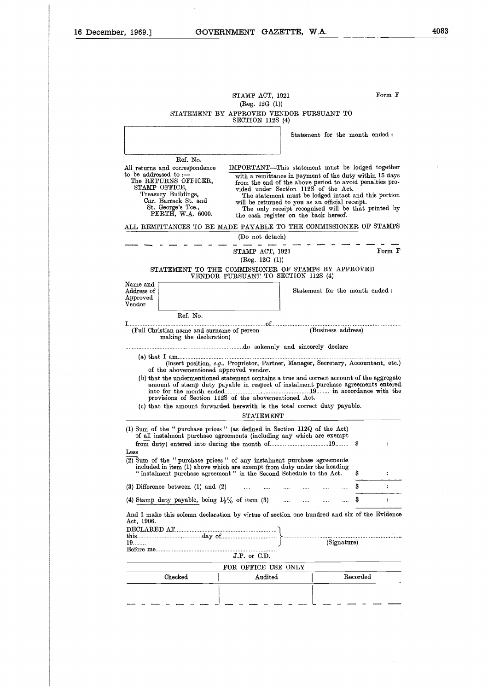|                                                              |                                                                                                                                                  | STAMP ACT, 1921                     |                                                                                                                                                                                                                                                                                                                                                                                                                            | Form F                     |
|--------------------------------------------------------------|--------------------------------------------------------------------------------------------------------------------------------------------------|-------------------------------------|----------------------------------------------------------------------------------------------------------------------------------------------------------------------------------------------------------------------------------------------------------------------------------------------------------------------------------------------------------------------------------------------------------------------------|----------------------------|
|                                                              |                                                                                                                                                  | (Reg. 12G (1))                      |                                                                                                                                                                                                                                                                                                                                                                                                                            |                            |
|                                                              |                                                                                                                                                  | SECTION 112S (4)                    | STATEMENT BY APPROVED VENDOR PURSUANT TO                                                                                                                                                                                                                                                                                                                                                                                   |                            |
|                                                              |                                                                                                                                                  |                                     | Statement for the month ended:                                                                                                                                                                                                                                                                                                                                                                                             |                            |
|                                                              | Ref. No.                                                                                                                                         |                                     |                                                                                                                                                                                                                                                                                                                                                                                                                            |                            |
| to be addressed to :-<br>STAMP OFFICE,                       | All returns and correspondence<br>The RETURNS OFFICER,<br>Treasury Buildings,<br>Cnr. Barrack St. and<br>St. George's Tce.,<br>PERTH, W.A. 6000. |                                     | IMPORTANT—This statement must be lodged together<br>with a remittance in payment of the duty within 15 days<br>from the end of the above period to avoid penalties pro-<br>vided under Section 112S of the Act.<br>The statement must be lodged intact and this portion<br>will be returned to you as an official receipt.<br>The only receipt recognised will be that printed by<br>the cash register on the back hereof. |                            |
|                                                              |                                                                                                                                                  |                                     | ALL REMITTANCES TO BE MADE PAYABLE TO THE COMMISSIONER OF STAMPS                                                                                                                                                                                                                                                                                                                                                           |                            |
|                                                              |                                                                                                                                                  | (Do not detach)                     |                                                                                                                                                                                                                                                                                                                                                                                                                            |                            |
|                                                              |                                                                                                                                                  | STAMP ACT, 1921<br>(Reg. 12G (1))   |                                                                                                                                                                                                                                                                                                                                                                                                                            | Form F                     |
|                                                              |                                                                                                                                                  | VENDOR PURSUANT TO SECTION 112S (4) | STATEMENT TO THE COMMISSIONER OF STAMPS BY APPROVED                                                                                                                                                                                                                                                                                                                                                                        |                            |
| Name and<br>Address of<br>${\Large{\bf Approach}}$<br>Vendor |                                                                                                                                                  |                                     | Statement for the month ended:                                                                                                                                                                                                                                                                                                                                                                                             |                            |
|                                                              | Ref. No.                                                                                                                                         |                                     |                                                                                                                                                                                                                                                                                                                                                                                                                            |                            |
|                                                              | (Full Christian name and surname of person<br>making the declaration)                                                                            |                                     | (Business address)                                                                                                                                                                                                                                                                                                                                                                                                         |                            |
|                                                              |                                                                                                                                                  |                                     |                                                                                                                                                                                                                                                                                                                                                                                                                            |                            |
|                                                              | of the abovementioned approved vendor.                                                                                                           |                                     | (insert position, e.g., Proprietor, Partner, Manager, Secretary, Accountant, etc.)                                                                                                                                                                                                                                                                                                                                         |                            |
|                                                              | provisions of Section 112S of the abovementioned Act.                                                                                            |                                     | (b) that the undermentioned statement contains a true and correct account of the aggregate<br>amount of stamp duty payable in respect of instalment purchase agreements entered                                                                                                                                                                                                                                            |                            |
|                                                              |                                                                                                                                                  |                                     | (c) that the amount forwarded herewith is the total correct duty payable.                                                                                                                                                                                                                                                                                                                                                  |                            |
|                                                              |                                                                                                                                                  | <b>STATEMENT</b>                    |                                                                                                                                                                                                                                                                                                                                                                                                                            |                            |
| Less                                                         |                                                                                                                                                  |                                     | (1) Sum of the "purchase prices" (as defined in Section 112Q of the Act)<br>of all instalment purchase agreements (including any which are exempt                                                                                                                                                                                                                                                                          | \$<br>$\ddot{\phantom{a}}$ |
|                                                              |                                                                                                                                                  |                                     | (2) Sum of the "purchase prices" of any instalment purchase agreements<br>included in item (1) above which are exempt from duty under the heading                                                                                                                                                                                                                                                                          |                            |

| $(1)$ Sum of the " purchase prices" (as defined in Section 112Q of the Act)<br>of all instalment purchase agreements (including any which are exempt                                                                    |                         |                     |  |             |                 |  |
|-------------------------------------------------------------------------------------------------------------------------------------------------------------------------------------------------------------------------|-------------------------|---------------------|--|-------------|-----------------|--|
| Less                                                                                                                                                                                                                    |                         |                     |  |             |                 |  |
| (2) Sum of the "purchase prices" of any instalment purchase agreements<br>included in item (1) above which are exempt from duty under the heading<br>"instalment purchase agreement" in the Second Schedule to the Act. |                         |                     |  |             |                 |  |
| (3) Difference between (1) and (2) $\ldots$ $\ldots$ $\ldots$ $\ldots$ $\ldots$                                                                                                                                         |                         |                     |  |             |                 |  |
| (4) Stamp duty payable, being $1\frac{1}{2}\%$ of item (3)                                                                                                                                                              |                         |                     |  |             |                 |  |
| And I make this solemn declaration by virtue of section one hundred and six of the Evidence<br>Act, 1906.                                                                                                               |                         |                     |  |             |                 |  |
|                                                                                                                                                                                                                         |                         |                     |  |             |                 |  |
| $19\dots$                                                                                                                                                                                                               |                         |                     |  | (Signature) |                 |  |
|                                                                                                                                                                                                                         | $J.P.$ or $C.D.$        |                     |  |             |                 |  |
|                                                                                                                                                                                                                         |                         | FOR OFFICE USE ONLY |  |             |                 |  |
| $C_{\text{hold}}$                                                                                                                                                                                                       | $A \cdot A + A \cdot A$ |                     |  |             | <b>Desembed</b> |  |

| mondown in florid (2) woover which alle exemple from who, unwell the howwing<br>"instalment purchase agreement" in the Second Schedule to the Act. |                     |  |             | Ŝ        |  |
|----------------------------------------------------------------------------------------------------------------------------------------------------|---------------------|--|-------------|----------|--|
| (3) Difference between (1) and (2) $\ldots$ $\ldots$ $\ldots$ $\ldots$                                                                             |                     |  |             | S        |  |
| (4) Stamp duty payable, being $1\frac{1}{2}\%$ of item (3)                                                                                         |                     |  |             |          |  |
| And I make this solemn declaration by virtue of section one hundred and six of the Evidence<br>Act, 1906.<br>$19\dots$                             |                     |  | (Signature) |          |  |
| $J.P.$ or $C.D.$                                                                                                                                   |                     |  |             |          |  |
|                                                                                                                                                    | FOR OFFICE USE ONLY |  |             |          |  |
| Checked                                                                                                                                            | Audited             |  |             | Recorded |  |
|                                                                                                                                                    |                     |  |             |          |  |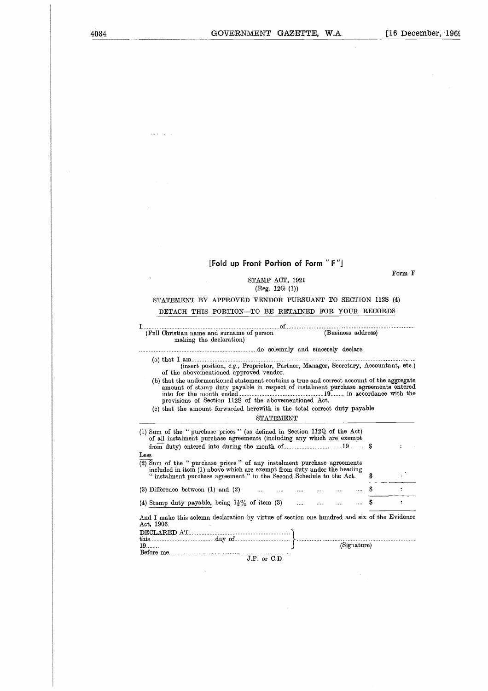$\bar{\psi}$ 

# **[Fold up Front Portion of Form "** F "]

# STAMP ACT, 1921 (Reg. 12G (1))

# STATEMENT BY APPROVED VENDOR PURSUANT TO SECTION 112S **(4)**

# DETACH THIS PORTION—TO BE RETAINED FOR YOUR RECORDS

| [Fold up Front Portion of Form "F"]                                                                                                                                                                                                      |        |
|------------------------------------------------------------------------------------------------------------------------------------------------------------------------------------------------------------------------------------------|--------|
| STAMP ACT, 1921<br>$($ Reg. 12 $G(1)$                                                                                                                                                                                                    | Form F |
| STATEMENT BY APPROVED VENDOR PURSUANT TO SECTION 112S (4)                                                                                                                                                                                |        |
| DETACH THIS PORTION-TO BE RETAINED FOR YOUR RECORDS                                                                                                                                                                                      |        |
| (Full Christian name and surname of person<br>(Business address)<br>making the declaration)                                                                                                                                              |        |
|                                                                                                                                                                                                                                          |        |
| (insert position, e.g., Proprietor, Partner, Manager, Secretary, Accountant, etc.)<br>of the abovementioned approved vendor.                                                                                                             |        |
|                                                                                                                                                                                                                                          |        |
| (b) that the undermentioned statement contains a true and correct account of the aggregate<br>amount of stamp duty payable in respect of instalment purchase agreements entered<br>provisions of Section 112S of the abovementioned Act. |        |
| (c) that the amount forwarded herewith is the total correct duty payable.<br><b>STATEMENT</b>                                                                                                                                            |        |
| (1) Sum of the "purchase prices" (as defined in Section 112Q of the Act)                                                                                                                                                                 |        |
| of all instalment purchase agreements (including any which are exempt<br>s                                                                                                                                                               |        |
| Less<br>$\overline{(2)}$ Sum of the "purchase prices" of any instalment purchase agreements                                                                                                                                              |        |
| included in item (1) above which are exempt from duty under the heading<br>"instalment purchase agreement" in the Second Schedule to the Act.<br>S                                                                                       |        |
| $(3)$ Difference between $(1)$ and $(2)$<br>S<br>$\cdots$ $\cdots$ $\cdots$                                                                                                                                                              | ÷      |
| (4) Stamp duty payable, being $1\frac{1}{2}\%$ of item (3)<br>s                                                                                                                                                                          | ÷      |
| And I make this solemn declaration by virtue of section one hundred and six of the Evidence<br>Act, 1906.                                                                                                                                |        |

 $\frac{1}{2}$  ,  $\frac{1}{2}$  ,  $\frac{1}{2}$  ,  $\frac{1}{2}$  ,  $\frac{1}{2}$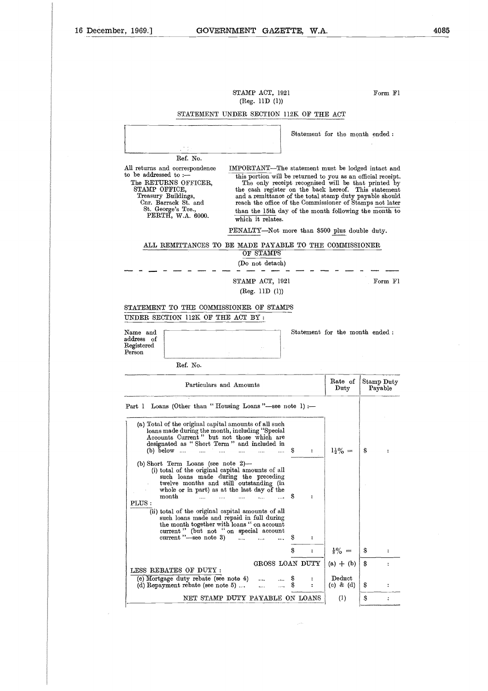# $STAMP$   $ACT$ ,  $1921$   $Form$   $Fl$ (Reg. 11D (1))

|                                                                                                                                                      | STATEMENT UNDER SECTION 112K OF THE ACT                                                                                                                                                                                                              |          |                                       |        |                                              |                                                                                                                                                                                                                                                                                                                                                         |                       |                      |
|------------------------------------------------------------------------------------------------------------------------------------------------------|------------------------------------------------------------------------------------------------------------------------------------------------------------------------------------------------------------------------------------------------------|----------|---------------------------------------|--------|----------------------------------------------|---------------------------------------------------------------------------------------------------------------------------------------------------------------------------------------------------------------------------------------------------------------------------------------------------------------------------------------------------------|-----------------------|----------------------|
|                                                                                                                                                      |                                                                                                                                                                                                                                                      |          |                                       |        |                                              | Statement for the month ended:                                                                                                                                                                                                                                                                                                                          |                       |                      |
|                                                                                                                                                      | Ref. No.                                                                                                                                                                                                                                             |          |                                       |        |                                              |                                                                                                                                                                                                                                                                                                                                                         |                       |                      |
| All returns and correspondence<br>to be addressed to $:$ $-$<br>The RETURNS OFFICER,<br>STAMP OFFICE,<br>Treasury Buildings,<br>Cnr. Barrack St. and |                                                                                                                                                                                                                                                      |          |                                       |        |                                              | IMPORTANT—The statement must be lodged intact and<br>this portion will be returned to you as an official receipt.<br>The only receipt recognised will be that printed by<br>the cash register on the back hereof. This statement<br>and a remittance of the total stamp duty payable should<br>reach the office of the Commissioner of Stamps not later |                       |                      |
| St. George's Tee                                                                                                                                     | PERTH, W.A. 6000.                                                                                                                                                                                                                                    |          | which it relates.                     |        |                                              | than the 15th day of the month following the month to                                                                                                                                                                                                                                                                                                   |                       |                      |
|                                                                                                                                                      |                                                                                                                                                                                                                                                      |          |                                       |        |                                              | PENALTY-Not more than \$500 plus double duty.                                                                                                                                                                                                                                                                                                           |                       |                      |
|                                                                                                                                                      | ALL REMITTANCES TO BE MADE PAYABLE TO THE COMMISSIONER                                                                                                                                                                                               |          | OF STAMPS<br>(Do not detach)          |        |                                              |                                                                                                                                                                                                                                                                                                                                                         |                       |                      |
|                                                                                                                                                      |                                                                                                                                                                                                                                                      |          |                                       |        |                                              |                                                                                                                                                                                                                                                                                                                                                         |                       |                      |
|                                                                                                                                                      |                                                                                                                                                                                                                                                      |          | STAMP ACT, 1921<br>(Reg. 11D (1))     |        |                                              |                                                                                                                                                                                                                                                                                                                                                         |                       | Form F1              |
| STATEMENT TO THE COMMISSIONER OF STAMPS<br>UNDER SECTION 112K OF THE ACT BY :                                                                        |                                                                                                                                                                                                                                                      |          |                                       |        |                                              |                                                                                                                                                                                                                                                                                                                                                         |                       |                      |
| Name and<br>address of<br>Registered<br>$\rm Person$                                                                                                 |                                                                                                                                                                                                                                                      |          |                                       |        |                                              | Statement for the month ended:                                                                                                                                                                                                                                                                                                                          |                       |                      |
|                                                                                                                                                      | Ref. No.                                                                                                                                                                                                                                             |          |                                       |        |                                              |                                                                                                                                                                                                                                                                                                                                                         |                       |                      |
|                                                                                                                                                      | Particulars and Amounts                                                                                                                                                                                                                              |          |                                       |        |                                              | Rate of<br>Duty                                                                                                                                                                                                                                                                                                                                         | Stamp Duty<br>Payable |                      |
| Part 1 Loans (Other than "Housing Loans"-see note 1) :-                                                                                              |                                                                                                                                                                                                                                                      |          |                                       |        |                                              |                                                                                                                                                                                                                                                                                                                                                         |                       |                      |
| (b) below                                                                                                                                            | (a) Total of the original capital amounts of all such<br>loans made during the month, including "Special<br>Accounts Current" but not those which are<br>designated as "Short Term" and included in<br>$\cdots$                                      |          | .                                     | s      | :                                            | $1\frac{1}{2}\% =$                                                                                                                                                                                                                                                                                                                                      | \$                    | $\ddot{\cdot}$       |
| month<br>PLUS:                                                                                                                                       | (b) Short Term Loans (see note $2$ )-<br>(i) total of the original capital amounts of all<br>such loans made during the preceding<br>twelve months and still outstanding (in<br>whole or in part) as at the last day of the<br>$\ddotsc$<br>$\cdots$ | $\cdots$ | <br>$\bullet \bullet \bullet \bullet$ | s      |                                              |                                                                                                                                                                                                                                                                                                                                                         |                       |                      |
|                                                                                                                                                      | (ii) total of the original capital amounts of all<br>such loans made and repaid in full during<br>the month together with loans " on account<br>current " (but not "on special account<br>current "--see note 3)                                     |          |                                       | Ş      | $\ddot{\phantom{a}}$                         |                                                                                                                                                                                                                                                                                                                                                         |                       |                      |
|                                                                                                                                                      |                                                                                                                                                                                                                                                      |          |                                       | s      | $\ddot{\phantom{a}}$                         | $\frac{1}{8}\% =$                                                                                                                                                                                                                                                                                                                                       | S                     | $\ddot{\phantom{a}}$ |
|                                                                                                                                                      | LESS REBATES OF DUTY :                                                                                                                                                                                                                               |          | GROSS LOAN DUTY                       |        |                                              | $(a) + (b)$                                                                                                                                                                                                                                                                                                                                             | S                     |                      |
|                                                                                                                                                      | (c) Mortgage duty rebate (see note 4)<br>(d) Repayment rebate (see note $5)$                                                                                                                                                                         |          | .                                     | s<br>S | $\ddot{\phantom{a}}$<br>$\ddot{\phantom{a}}$ | Deduct<br>(c) & (d)                                                                                                                                                                                                                                                                                                                                     | Ş                     |                      |
|                                                                                                                                                      | NET STAMP DUTY PAYABLE ON LOANS                                                                                                                                                                                                                      |          |                                       |        |                                              | $\left(1\right)$                                                                                                                                                                                                                                                                                                                                        | \$                    | $\ddot{\cdot}$       |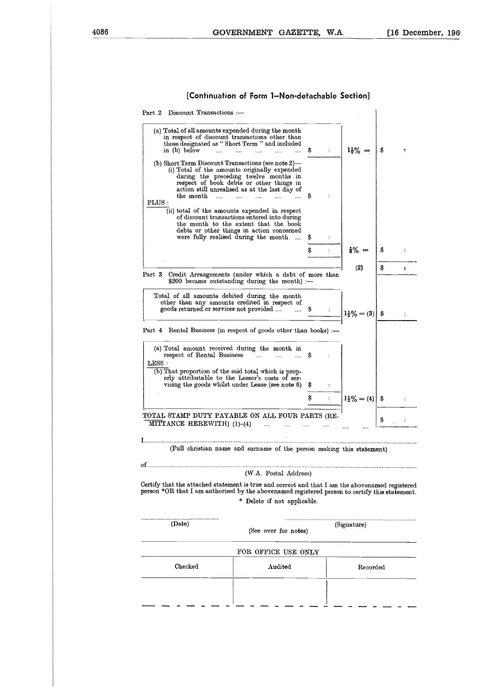# **[Continuation of Form 1–Non-detachable Section]**

| $1\frac{1}{2}\% =$                                                                                                                                                                                | S      |
|---------------------------------------------------------------------------------------------------------------------------------------------------------------------------------------------------|--------|
|                                                                                                                                                                                                   |        |
|                                                                                                                                                                                                   |        |
| $\frac{1}{8}\% =$                                                                                                                                                                                 | S      |
| (2)<br>Credit Arrangements (under which a debt of more than                                                                                                                                       | S<br>÷ |
| $1\frac{1}{2}\% = (3)$                                                                                                                                                                            | \$     |
| Part 4 Rental Business (in respect of goods other than books) :-                                                                                                                                  |        |
|                                                                                                                                                                                                   |        |
| $1\frac{1}{2}\% = (4)$                                                                                                                                                                            | s      |
| TOTAL STAMP DUTY PAYABLE ON ALL FOUR PARTS (RE-                                                                                                                                                   | \$     |
| (Full christian name and surname of the person making this statement)                                                                                                                             |        |
|                                                                                                                                                                                                   |        |
| Certify that the attached statement is true and correct and that I am the abovenamed registered<br>person *OR that I am authorised by the abovenamed registered person to certify this statement. |        |
| (Signature)                                                                                                                                                                                       |        |
|                                                                                                                                                                                                   |        |
| Recorded                                                                                                                                                                                          |        |
|                                                                                                                                                                                                   |        |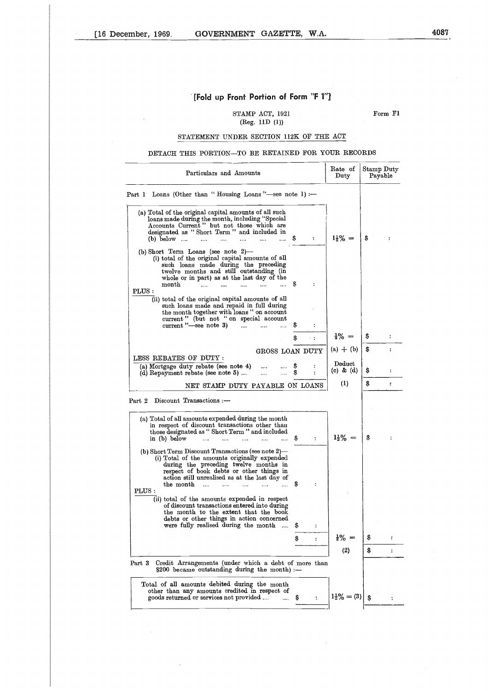J.

# **[Fold up Front Portion of Form "F 1"1**

STAMP ACT, 1921 Form Fl (Reg. 11D (1))

# STATEMENT UNDER SECTION 112K OF THE ACT

# DETACH THIS PORTION—TO BE RETAINED FOR YOUR RECORDS

 $\Delta$ 

| Particulars and Amounts                                                                                                                                                                                                                                                                                                                                                                                                                                                                                                                                                                                                                                                   |                                                                         | Rate of<br>Duty                         | Stamp Duty | Payable        |
|---------------------------------------------------------------------------------------------------------------------------------------------------------------------------------------------------------------------------------------------------------------------------------------------------------------------------------------------------------------------------------------------------------------------------------------------------------------------------------------------------------------------------------------------------------------------------------------------------------------------------------------------------------------------------|-------------------------------------------------------------------------|-----------------------------------------|------------|----------------|
| Part 1 Loans (Other than "Housing Loans"—see note 1) :—                                                                                                                                                                                                                                                                                                                                                                                                                                                                                                                                                                                                                   |                                                                         |                                         |            |                |
| (a) Total of the original capital amounts of all such<br>loans made during the month, including "Special<br>Accounts Current" but not those which are<br>designated as "Short Term" and included in<br>s<br>$(b)$ below $\dots$<br>$\cdots$<br>$\ldots$<br>$\ddotsc$<br>.<br>$\mathbb{R}^2$                                                                                                                                                                                                                                                                                                                                                                               | $\ddot{\phantom{a}}$                                                    | $1\frac{1}{2}\% =$                      | \$         |                |
| (b) Short Term Loans (see note $2$ )-<br>(i) total of the original capital amounts of all<br>such loans made during the preceding<br>twelve months and still outstanding (in<br>whole or in part) as at the last day of the<br>$\mathop{\rm month}\nolimits$<br>Ş<br>$\cdots$                                                                                                                                                                                                                                                                                                                                                                                             |                                                                         |                                         |            |                |
| PLUS:<br>(ii) total of the original capital amounts of all<br>such loans made and repaid in full during<br>the month together with loans " on account<br>current" (but not "on special account<br>current"-see note 3)                                                                                                                                                                                                                                                                                                                                                                                                                                                    |                                                                         |                                         |            |                |
| S                                                                                                                                                                                                                                                                                                                                                                                                                                                                                                                                                                                                                                                                         | ÷<br>$\sim$ 1                                                           | $\frac{1}{8}\% =$                       | s          | ÷              |
| GROSS LOAN DUTY                                                                                                                                                                                                                                                                                                                                                                                                                                                                                                                                                                                                                                                           |                                                                         | $(a) + (b)$                             | S.         |                |
| LESS REBATES OF DUTY :                                                                                                                                                                                                                                                                                                                                                                                                                                                                                                                                                                                                                                                    |                                                                         | Deduct                                  |            |                |
| (a) Mortgage duty rebate (see note 4)<br>S<br>$\cdots$<br>S<br>(d) Repayment rebate (see note 5)<br>                                                                                                                                                                                                                                                                                                                                                                                                                                                                                                                                                                      |                                                                         | $(c)$ & $(d)$                           | s          | ÷              |
| NET STAMP DUTY PAYABLE ON LOANS                                                                                                                                                                                                                                                                                                                                                                                                                                                                                                                                                                                                                                           |                                                                         | $\rm _{(1)}$                            | \$         | ÷              |
| Discount Transactions :-<br>Part 2<br>(a) Total of all amounts expended during the month                                                                                                                                                                                                                                                                                                                                                                                                                                                                                                                                                                                  |                                                                         |                                         |            |                |
| in respect of discount transactions other than<br>those designated as "Short Term" and included<br>in (b) below<br>S<br>$\cdots$<br>(b) Short Term Discount Transactions (see note 2)-<br>(i) Total of the amounts originally expended<br>during the preceding twelve months in<br>respect of book debts or other things in<br>action still unrealised as at the last day of<br>the month<br>s<br>$\ddotsc$<br>$_{\rm PLUS}$ :<br>(ii) total of the amounts expended in respect<br>of discount transactions entered into during<br>the month to the extent that the book<br>debts or other things in action concerned<br>were fully realised during the month<br>$\cdots$ | $\ddot{\phantom{a}}$<br>÷<br>s<br>$\ddot{\cdot}$<br>S<br>$\ddot{\cdot}$ | $1\frac{1}{2}\% =$<br>$\frac{1}{3}\% =$ | \$         | ÷<br>÷         |
|                                                                                                                                                                                                                                                                                                                                                                                                                                                                                                                                                                                                                                                                           |                                                                         | (2)                                     | s          | $\ddot{\cdot}$ |
| Credit Arrangements (under which a debt of more than<br>Part 3<br>\$200 became outstanding during the month) :-                                                                                                                                                                                                                                                                                                                                                                                                                                                                                                                                                           |                                                                         |                                         |            |                |

 $\bar{z}$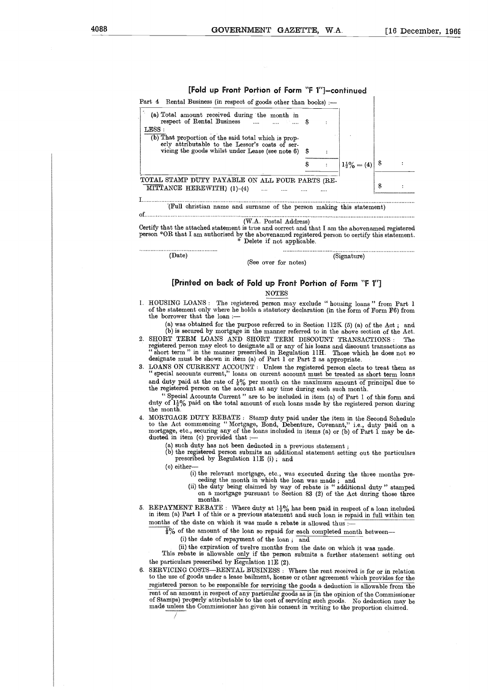| erly attributable to the Lessor's costs of ser-<br>vioing the goods whilst under Lease (see note 6) \$ |  |                        |     |  |
|--------------------------------------------------------------------------------------------------------|--|------------------------|-----|--|
|                                                                                                        |  | $1\frac{1}{2}\% = (4)$ | - 8 |  |
| TOTAL STAMP DUTY PAYABLE ON ALL FOUR PARTS (RE-<br>MITTANCE HEREWITH $(1)-(4)$                         |  |                        | S   |  |

(W.A. Postal Address) Certify that the attached statement is true and correct and that I am the abovenamed registered

person \*OR that I am authorised by the abovenamed registered person to certify this statement. Delete if not applicable. . . . . . . . . . . . . . . . . . . . .

(Date) (Signature)

. . . . . . . . . . . . . . . . .

(See over for notes)

**[Printed on back of Fold up Front Portion of Form "F 1"]**

# NOTES

1. HOUSING LOANS : The registered person may exclude " housing loans " from Part 1 of the statement only where he holds a statutory declaration (in the form of Form F6) from the borrower that the loan :-

(a) was obtained for the purpose referred to in Section 112K (5) (a) of the Act ; and (b) is secured by mortgage in the manner referred to in the above section of the Act.

- 2. SHORT TERM LOANS AND SHORT TERM DISCOUNT TRANSACTIONS: The registered person may elect to designate all or any of his loans and discount transactions as " short term " in the manner prescribed in Regulation 1111. Those which he does not so designate must be shown in item (a) of Part 1 or Part 2 as appropriate.
- 3. LOANS ON CURRENT ACCOUNT : Unless the registered person elects to treat them as " special accounts current," loans on current account must be treated as short term loans and duty paid at the rate of  $\frac{1}{8}$ % per month on the maximum amount of principal due to the registered person on the account at any time during each such month.

" Special Accounts Current " are to be included in item (a) of Part 1 of this form and duty of  $1\frac{1}{2}\%$  paid on the total amount of such loans made by the registered person during the month.

4. MORTGAGE DUTY REBATE : Stamp duty paid under the item in the Second Schedule to the Act commencing " Mortgage, Bond, Debenture, Covenant," i.e., duty paid on a mortgage, etc., securing any of the loans included in items (a) or (b) of Part 1 may be deducted in item (c) provided that :

(a) such duty has not been deducted in a previous statement ;

(b) the registered person submits an additional statement setting out the particulars prescribed by Regulation 11E (i) ; and

(c) either-

- (i) the relevant mortgage, etc., was executed during the three months pre-ceding the month in which the loan was made ; and
- (ii) the duty being claimed by way of rebate is " additional duty " stamped on a mortgage pursuant to Section 83 (2) of the Act during those three months.
- 5. REPAYMENT REBATE : Where duty at  $1\frac{1}{2}\%$  has been paid in respect of a loan included in item (a) Part 1 of this or a previous statement and such loan is repaid in full within ten months of the date on which it was made a rebate is allowed thus :

 $\frac{1}{3}$ % of the amount of the loan so repaid for each completed month between-

(i) the date of repayment of the loan ; and

(ii) the expiration of twelve months from the date on which it was made. This rebate is allowable only if the person submits a further statement setting out the particulars prescribed by Regulation 11E (2).

6. SERVICING COSTS—RENTAL BUSINESS : Where the rent received is for or in relation to the use of goods under a lease bailment, license or other agreement which provides for the registered person to be responsible for servicing the goods a deduction is allowable from the rent of an amount in respect of any particular goods as is (in the opinion of the Commissione<br>of Stamps) properly attributable to the cost of servicing such goods. No deduction may b made unless the Commissioner has given his consent in writing to the proportion claimed.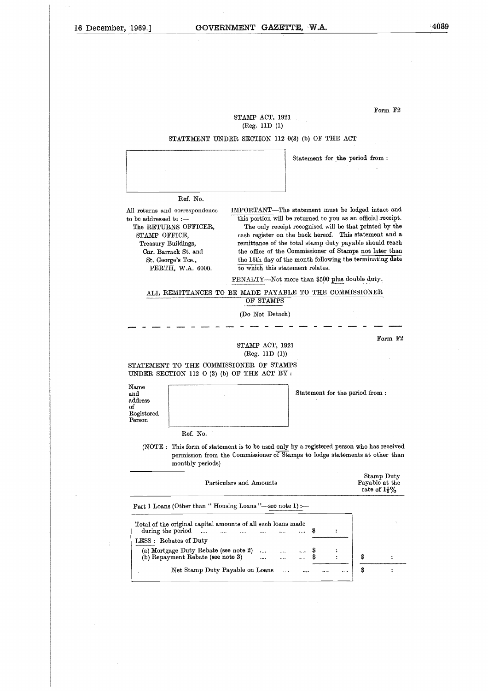# STAMP ACT, 1921 (Reg. 11D (1)

# STATEMENT UNDER SECTION 112 0(3) (b) OF THE ACT

Statement for the period from :

#### Ref. No.

STATEMENT UN<br>
Ref. No.<br>
Ref. No.<br>
All returns and correspondence<br>
to be addressed to :---<br>
The RETURNS OFFICER, STATET<br>
STATET<br>
Ref.<br>
All returns and correspect<br>
to be addressed to :---<br>
The RETURNS OF<br>
STAMP OFFICE, STATEMENT U STATE<br>
Ref.<br>
returns and corresponent<br>
STAMP OFFICE,<br>
Treasury Building<br>
Cnr. Barrack St.<br>
St. George's Tes Ref. No.<br>Ref. No.<br>dadressed to :--<br>RETURNS OFFICE,<br>NETURNS OFFICE,<br>Feasury Buildings,<br>Cnr. Barrack St. and<br>St. George's Tce.,<br>PERTH, W.A. 600

IMPORTANT—The statement must be lodged intact and this portion will be returned to you as an official receipt. The only receipt recognised will be that printed by the cash register on the back hereof. This statement and a STATEMENT UNDER SECTION IT2  $\sigma(s)$  (b) OF THE ACT<br>
TREASURE AND STATEMENT UNDER SECTION IT2  $\sigma(s)$  (b) OF THE ACT<br>
Statement for the period from :<br>
Ref. No.<br>
TREASURE AND A statement of the total stamp duty payable should the office of the Commissioner of Stamps not later than Statement for the period from :<br>
Ref. No.<br>
Herstand correspondence IMPORTANT—The statement must be lodged intact and<br>
ddressed to :— this portion will be returned to you as an official receipt.<br>
RETURNS OFFICER, The only r PERTH, W.A. 6000. to which this statement relates.

PENALTY—Not more than \$500 plus double duty.

# ALL REMITTANCES TO BE MADE PAYABLE TO THE COMMISSIONER OF STAMPS

(Do Not Detach)

Form F2

STAMP ACT, 1921 (Reg. 11D (1))

STATEMENT TO THE COMMISSIONER OF STAMPS UNDER SECTION 112 0 (3) (b) OF THE ACT BY :

Name and address of Registered Person

| $\rm Name$<br>and<br>address<br>of<br>${\bf Registered}$<br>Person |                                                                                                                                                                           | Statement for the period from:                           |
|--------------------------------------------------------------------|---------------------------------------------------------------------------------------------------------------------------------------------------------------------------|----------------------------------------------------------|
| Ref. No.                                                           |                                                                                                                                                                           |                                                          |
| monthly periods)                                                   | (NOTE : This form of statement is to be used only by a registered person who has received<br>permission from the Commissioner of Stamps to lodge statements at other than |                                                          |
|                                                                    | Particulars and Amounts                                                                                                                                                   | Stamp Duty<br>Payable at the<br>rate of $1\frac{1}{2}\%$ |
|                                                                    | Part 1 Loans (Other than "Housing Loans"—see note 1) :—                                                                                                                   |                                                          |
| during the period                                                  | Total of the original capital amounts of all such loans made<br>Ş                                                                                                         |                                                          |
| LESS : Rebates of Duty                                             |                                                                                                                                                                           |                                                          |

| Particulars and Amounts                                                                                                   |  |          |  |   |  |    | Stamp Duty<br>Payable at the<br>rate of $1\frac{1}{2}\%$ |
|---------------------------------------------------------------------------------------------------------------------------|--|----------|--|---|--|----|----------------------------------------------------------|
| Part 1 Loans (Other than "Housing Loans"—see note 1) :—                                                                   |  |          |  |   |  |    |                                                          |
| Total of the original capital amounts of all such loans made<br>during the period $\dots$ $\dots$ $\dots$ $\dots$ $\dots$ |  |          |  | Ş |  |    |                                                          |
| LESS : Rebates of Duty                                                                                                    |  |          |  |   |  |    |                                                          |
| (a) Mortgage Duty Kebate (see note 2) $\$ \$<br>(b) Repayment Rebate (see note 3)    \$                                   |  |          |  |   |  | \$ |                                                          |
| Net Stamp Duty Payable on Loans                                                                                           |  | $\cdots$ |  |   |  | \$ |                                                          |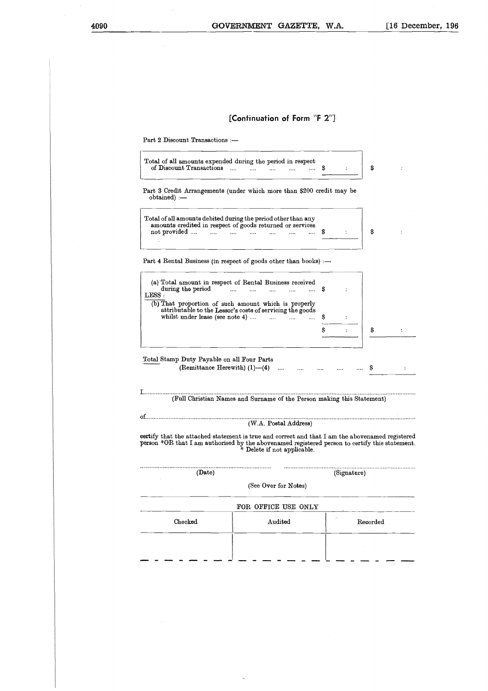# **[Continuation of Form "F 2"]**

Part 2 Discount Transactions :—

| Total of all amounts expended during the period in respect |          |  |  |          |  |  |  |  |
|------------------------------------------------------------|----------|--|--|----------|--|--|--|--|
| of Discount Transactions                                   | $\cdots$ |  |  | $\cdots$ |  |  |  |  |

Part 3 Credit Arrangements (under which more than \$200 credit may be obtained) :—

| Total of all amounts debited during the period other than any<br>amounts credited in respect of goods returned or services |  |  |  |  |  |  |  |  |  |
|----------------------------------------------------------------------------------------------------------------------------|--|--|--|--|--|--|--|--|--|
| not provided                                                                                                               |  |  |  |  |  |  |  |  |  |

| Total of all amounts debited during the period other than any<br>amounts credited in respect of goods returned or services<br>not provided                                                               |   |        | Ŝ |  |
|----------------------------------------------------------------------------------------------------------------------------------------------------------------------------------------------------------|---|--------|---|--|
|                                                                                                                                                                                                          |   |        |   |  |
| Part 4 Rental Business (in respect of goods other than books) :-                                                                                                                                         |   |        |   |  |
| (a) Total amount in respect of Rental Business received<br>during the period<br>1.1111<br>LESS :                                                                                                         | S |        |   |  |
| (b) That proportion of such amount which is properly<br>attributable to the Lessor's costs of servicing the goods<br>whilst under lease (see note 4) $\ldots$ $\ldots$                                   | s |        |   |  |
|                                                                                                                                                                                                          | Ŝ |        | S |  |
| Total Stamp Duty Payable on all Four Parts<br>(Remittance Herewith) $(1)$ — $(4)$                                                                                                                        |   | $\sim$ |   |  |
|                                                                                                                                                                                                          |   |        |   |  |
| (Full Christian Names and Surname of the Person making this Statement)                                                                                                                                   |   |        |   |  |
| იf.                                                                                                                                                                                                      |   |        |   |  |
| (W.A. Postal Address)                                                                                                                                                                                    |   |        |   |  |
| certify that the attached statement is true and correct and that I am the abovenamed registered<br><b>person</b> *OR that I am authorised by the abovenamed registered person to certify this statement. |   |        |   |  |

| (Full Christian Names and Surname of the Person making this Statement) |  |  |  |  |  |  |  |
|------------------------------------------------------------------------|--|--|--|--|--|--|--|
|------------------------------------------------------------------------|--|--|--|--|--|--|--|

|         | (Full Christian Names and Surname of the Person making this Statement) |                                                                                                                                                                                                   |
|---------|------------------------------------------------------------------------|---------------------------------------------------------------------------------------------------------------------------------------------------------------------------------------------------|
|         |                                                                        |                                                                                                                                                                                                   |
|         | (W.A. Postal Address)                                                  |                                                                                                                                                                                                   |
|         | * Delete if not applicable.                                            | certify that the attached statement is true and correct and that I am the abovenamed registered<br>person *OR that I am authorised by the abovenamed registered person to certify this statement. |
| (Date)  |                                                                        | (Signature)                                                                                                                                                                                       |
|         | (See Over for Notes)                                                   |                                                                                                                                                                                                   |
|         | FOR OFFICE USE ONLY                                                    |                                                                                                                                                                                                   |
| Checked | Audited                                                                | Recorded                                                                                                                                                                                          |
|         |                                                                        |                                                                                                                                                                                                   |
|         |                                                                        |                                                                                                                                                                                                   |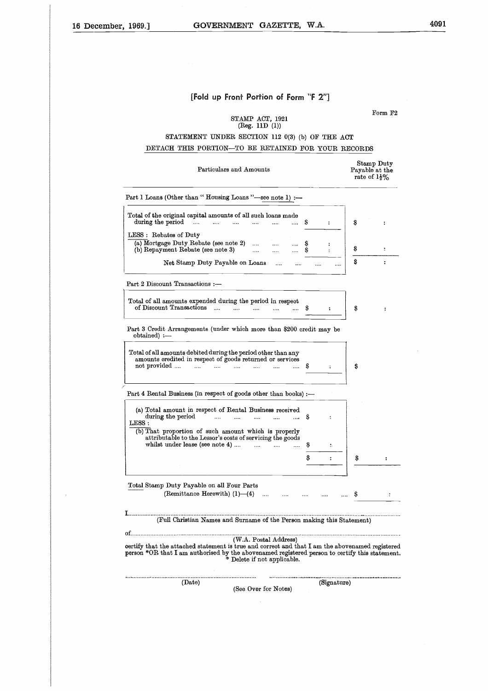$\overline{1}$ 

# **[Fold up Front Portion of Form "F 2"]**

STAMP ACT, 1921 (Reg. 11D (1))

Form F2

# STATEMENT UNDER SECTION 112 0(3) (b) OF THE ACT DETACH THIS PORTION—TO BE RETAINED FOR YOUR RECORDS

|                                                                                                                                                                                                                                                                                                                                                         | STATEMENT UNDER SECTION 112 0(3) (b) OF THE ACT |                                  |                      |        |                      |    |                                                          |
|---------------------------------------------------------------------------------------------------------------------------------------------------------------------------------------------------------------------------------------------------------------------------------------------------------------------------------------------------------|-------------------------------------------------|----------------------------------|----------------------|--------|----------------------|----|----------------------------------------------------------|
| DETACH THIS PORTION-TO BE RETAINED FOR YOUR RECORDS                                                                                                                                                                                                                                                                                                     |                                                 |                                  |                      |        |                      |    |                                                          |
|                                                                                                                                                                                                                                                                                                                                                         | Particulars and Amounts                         |                                  |                      |        |                      |    | Stamp Duty<br>Payable at the<br>rate of $1\frac{1}{2}\%$ |
| Part I Loans (Other than "Housing Loans"-see note 1) :-                                                                                                                                                                                                                                                                                                 |                                                 |                                  |                      |        |                      |    |                                                          |
| Total of the original capital amounts of all such loans made<br>during the period<br>$\sim$ $\sim$                                                                                                                                                                                                                                                      | and in<br>$\cdots$                              | $\cdots$                         |                      | S      | $\ddot{\cdot}$       | S  |                                                          |
| LESS : Rebates of Duty                                                                                                                                                                                                                                                                                                                                  |                                                 |                                  |                      |        |                      |    |                                                          |
| (a) Mortgage Duty Rebate (see note 2)<br>(b) Repayment Rebate (see note 3)                                                                                                                                                                                                                                                                              |                                                 | $\cdots$<br>$\cdots$<br>$\cdots$ | $\cdots$<br>$\cdots$ | S<br>S | ፡                    | S  | $\ddot{\cdot}$                                           |
| Net Stamp Duty Payable on Loans                                                                                                                                                                                                                                                                                                                         |                                                 | $\cdots$                         |                      |        |                      | Ŝ  | $\ddot{\cdot}$                                           |
| Part 2 Discount Transactions :-                                                                                                                                                                                                                                                                                                                         |                                                 |                                  |                      |        |                      |    |                                                          |
| Total of all amounts expended during the period in respect                                                                                                                                                                                                                                                                                              |                                                 |                                  |                      |        |                      |    |                                                          |
| of Discount Transactions<br><b>Collection</b>                                                                                                                                                                                                                                                                                                           | $\ddotsc$<br>$\sim$                             |                                  | $\cdots$             | S      | $\ddot{\phantom{a}}$ | \$ | $\ddot{\phantom{a}}$                                     |
| Part 3 Credit Arrangements (under which more than \$200 credit may be<br>obtained) :-                                                                                                                                                                                                                                                                   |                                                 |                                  |                      |        |                      |    |                                                          |
|                                                                                                                                                                                                                                                                                                                                                         |                                                 |                                  |                      |        |                      |    |                                                          |
| Total of all amounts debited during the period other than any                                                                                                                                                                                                                                                                                           |                                                 |                                  |                      |        |                      |    |                                                          |
|                                                                                                                                                                                                                                                                                                                                                         |                                                 |                                  |                      |        |                      |    |                                                          |
| amounts credited in respect of goods returned or services<br>not provided<br>$\cdots$<br>$\cdots$                                                                                                                                                                                                                                                       | $\cdots$                                        |                                  | $\cdots$             | S      |                      | \$ |                                                          |
| Part 4 Rental Business (in respect of goods other than books) :-                                                                                                                                                                                                                                                                                        |                                                 |                                  |                      |        |                      |    |                                                          |
|                                                                                                                                                                                                                                                                                                                                                         |                                                 |                                  |                      |        |                      |    |                                                          |
| (a) Total amount in respect of Rental Business received<br>during the period<br>$\cdots$                                                                                                                                                                                                                                                                | $\ddotsc$<br>$\ddotsc$                          | $\cdots$                         |                      | S      | $\ddot{\cdot}$       |    |                                                          |
| LESS:<br>(b) That proportion of such amount which is properly                                                                                                                                                                                                                                                                                           |                                                 |                                  |                      |        |                      |    |                                                          |
| attributable to the Lessor's costs of servicing the goods<br>whilst under lease (see note 4)                                                                                                                                                                                                                                                            |                                                 | $\cdots$                         | $\ddotsc$            | Ş      | t.                   |    |                                                          |
|                                                                                                                                                                                                                                                                                                                                                         |                                                 |                                  |                      | S      | $\ddot{\cdot}$       | \$ | :                                                        |
|                                                                                                                                                                                                                                                                                                                                                         |                                                 |                                  |                      |        |                      |    |                                                          |
|                                                                                                                                                                                                                                                                                                                                                         |                                                 |                                  |                      |        |                      |    |                                                          |
| (Remittance Herewith) $(1)$ — $(4)$                                                                                                                                                                                                                                                                                                                     |                                                 |                                  |                      |        |                      |    |                                                          |
|                                                                                                                                                                                                                                                                                                                                                         |                                                 |                                  |                      |        |                      |    |                                                          |
| Total Stamp Duty Payable on all Four Parts<br>${\bf I}$ . The continuum constraint constraint constraint constraint constraint constraint constraint constraint constraint constraint constraint constraint constraint constraint constraint constraint constraint constraint<br>(Full Christian Names and Surname of the Person making this Statement) |                                                 |                                  |                      |        |                      |    |                                                          |
|                                                                                                                                                                                                                                                                                                                                                         |                                                 | (W.A. Postal Address)            |                      |        |                      |    |                                                          |
|                                                                                                                                                                                                                                                                                                                                                         | * Delete if not applicable.                     |                                  |                      |        |                      |    |                                                          |
| certify that the attached statement is true and correct and that I am the abovenamed registered<br>person *OR that I am authorised by the abovenamed registered person to certify this statement.<br>(Date)                                                                                                                                             |                                                 |                                  |                      |        | (Signature)          |    |                                                          |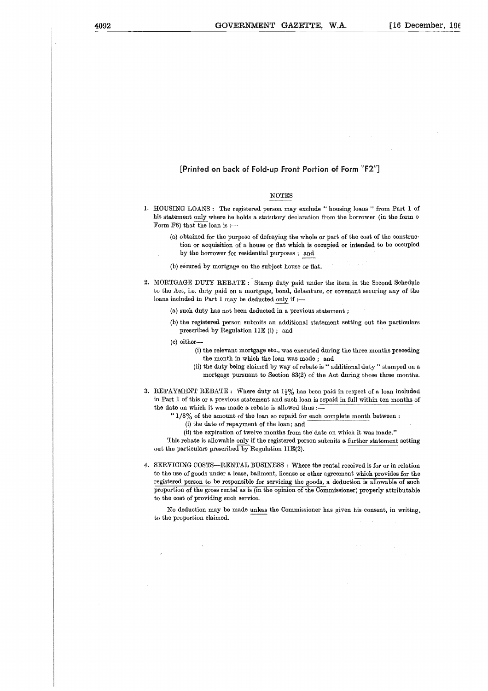# **[Printed on back of Fold-up Front Portion of Form "F2"]**

# NOTES

- 1. HOUSING LOANS : The registered person may exclude " housing loans " from Part 1 of his statement only where he holds a statutory declaration from the borrower (in the form o Form F6) that the loan is :-
	- (a) obtained for the purpose of defraying the whole or part of the cost of the construction or acquisition of a house or flat which is occupied or intended to be occupied by the borrower for residential purposes ; and
	- (b) secured by mortgage on the subject house or flat.
- 2. MORTGAGE DUTY REBATE : Stamp duty paid under the item in the Second Schedule to the Act, i.e. duty paid on a mortgage, bond, debenture, or covenant securing *any* of the loans included in Part 1 may be deducted only if :—
	- (a) such duty has not been deducted in a previous statement ;
	- (b) the registered person submits an additional statement setting out the particulars prescribed by Regulation 11E (i) ; and
	- (c) either-
		- (i) the relevant mortgage etc., was executed during the three months preceding the month in which the loan was made ; and
		- (ii) the duty being claimed by way of rebate is " additional duty " stamped on a mortgage pursuant to Section 83(2) of the Act during those three months.
- 3. REPAYMENT REBATE : Where duty at  $1\frac{1}{2}\%$  has been paid in respect of a loan included in Part 1 of this or a previous statement and such loan is repaid in full within ten months of the date on which it was made a rebate is allowed thus :-
	- "  $1/8\%$  of the amount of the loan so repaid for each complete month between :
		- (i) the date of repayment of the loan; and
		- (ii) the expiration of twelve months from the date on which it was made."

This rebate is allowable only if the registered person submits a further statement setting out the particulars prescribed by Regulation 11E(2).

4. SERVICING COSTS—RENTAL BUSINESS : Where the rental received is for or in relation to the use of goods under a lease, bailment, license or other agreement which provides for the registered person to be responsible for servicing the goods, a deduction is allowable of such proportion of the gross rental as is (in the opinion of the Commissioner) properly attributable to the cost of providing such service.

No deduction may be made unless the Commissioner has given his consent, in writing, to the proportion claimed.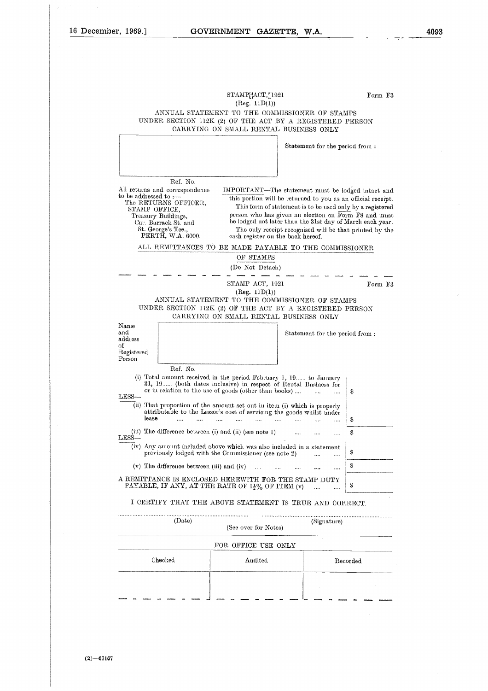# **MENT GAZET**<br>STAMP[4CT,<u>\*</u>1921<br>(Reg. 11D(1))<br>? TO THE COMMIS (Reg. 11D(1))

Form F3

Form F3

# ANNUAL STATEMENT TO THE COMMISSIONER OF STAMPS UNDER SECTION 112K (2) OF THE ACT BY A REGISTERED PERSON CARRYING ON SMALL RENTAL BUSINESS ONLY

Statement for the period from :

Ref. No.

All returns and correspondence to be addressed to: The RETURNS OFFICER, STAMP OFFICE, Treasury Buildings, Cnr. Barrack St. and St. George's Tee., PERTH, W.A. 6000.

IMPORTANT—The statement must he lodged intact and this portion will be returned to you as an official receipt. This form of statement is to be used only by a registered person who has given an election on Form FS and must be lodged not later than the 31st day of March each year. The only receipt recognised will be that printed by the cash register on the back hereof. MPORTANT—The s<br>this portion will be<br>this portion will be<br>This form of state<br>person who has give<br>be lodged uot later t<br>The only receipt r<br>cash register on the<br>MADE PAYABLE<br>OF STAMPS<br>(Do Not Detach)<br> $-\frac{1}{\sqrt{2}}$  -  $\frac{1}{\sqrt{$ 

#### ALL REMITTANCES TO BE MADE PAYABLE TO THE COMMISSIONER

OF STAMPS

(Do Not Detach)

— — — — — — — —

(Reg. 11D(1)) ANNUAL STATEMENT TO THE COMMISSIONER OF STAMPS UNDER SECTION 112K (2) OF THE ACT BY A REGISTERED PERSON CARRYING ON SMALL RENTAL BUSINESS ONLY

Name and address of Registered. Person

Statement for the period from :

Statement for the period<br>
Ref. No.<br>
(i) Total amount received in the period February 1, 19...... to January<br>
31, 19...... (both dates inclusive) in respect of Rental Business for<br>
or in relation to the use of goods (other Ref. No.<br>
Ref. No.<br>
Total amount received in the period February 1, 19...... to J<br>
31, 19...... (both dates inclusive) in respect of Rental Busin<br>
or in relation to the use of goods (other than books) .... .....<br>
That prop Ref. No. or in relation to the use of goods (other than books) .... S LESS (ii) That proportion of the amount set out in item (i) which is properly (v) The difference between (iii) and (iv) .... A REMITTANCE IS ENCLOSED HEREWITH FOR THE STAMP DUTY attributable to the Lessor's cost of servicing the goods whilst under lease Ś (Date)<br>
The Commissioner (See note 1)<br>
Container (See note 2)<br>
Container (See note 2)<br>
Container (See note 2)<br>
Container (See note 2)<br>
Container (See note 2)<br>
Container (See note 2)<br>
Container (See note 2)<br>
Container (Sign (iii) The difference between (i) and (ii) (see note 1) S LESS (iv) Any amount included above which was also included in a statement previously lodged with the Commissioner (see note 2) .... .... Ŝ S PAYABLE, IF ANY, AT THE RATE OF  $1\frac{1}{2}$ % OF ITEM (v) S

I CERTIFY THAT THE ABOVE STATEMENT IS TRUE AND CORRECT.

| (Date)  | (See over for Notes) | (Signature) |
|---------|----------------------|-------------|
|         | FOR OFFICE USE ONLY  |             |
| Checked | Audited              | Recorded    |
|         |                      |             |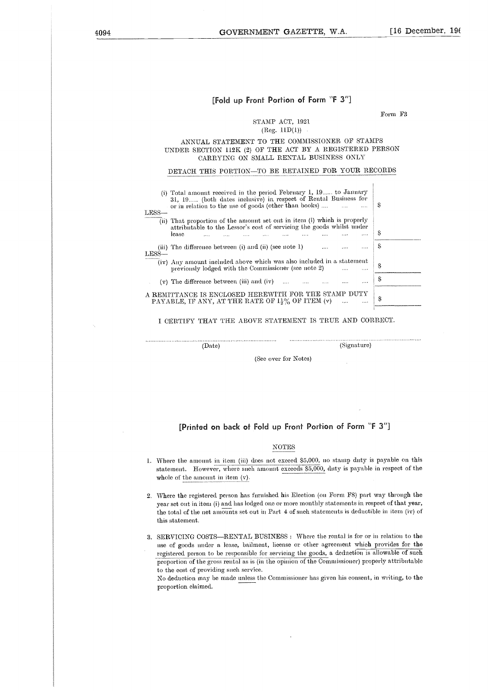# **[Fold up Front Portion of Form "F 3"]**

# Form F3

..................................

# STAMP ACT, 1921  $(Reg. 11D(1))$ .

# ANNUAL STATEMENT TO THE COMMISSIONER OF STAMPS UNDER SECTION 112K (2) OF THE ACT BY A REGISTERED PERSON CARRYING ON SMALL RENTAL BUSINESS ONLY

#### DETACH THIS PORTION—TO BE RETAINED FOR YOUR RECORDS

| UNDER SECTION 112K (2) OF THE ACT BY A REGISTERED PERSON<br>CARRYING ON SMALL RENTAL BUSINESS ONLY                                                                                                               |   |
|------------------------------------------------------------------------------------------------------------------------------------------------------------------------------------------------------------------|---|
| DETACH THIS PORTION-TO BE RETAINED FOR YOUR RECORDS                                                                                                                                                              |   |
| (i) Total amount received in the period February 1, 19 to January<br>31, 19 (both dates inclusive) in respect of Rental Business for<br>or in relation to the use of goods (other than books)<br>$\sim$<br>LESS- | S |
| (ii) That proportion of the amount set out in item (i) which is properly<br>attributable to the Lessor's cost of servicing the goods whilst under<br>lease<br>.                                                  | S |
| (iii) The difference between (i) and (ii) (see note 1)<br>.<br>$LESS-$                                                                                                                                           | S |
| (iv) Any amount included above which was also included in a statement<br>previously lodged with the Commissioner (see note 2)                                                                                    | S |
| $(v)$ The difference between (iii) and (iv)                                                                                                                                                                      | S |
| A REMITTANCE IS ENCLOSED HEREWITH FOR THE STAMP DUTY<br>PAYABLE, IF ANY, AT THE RATE OF $1\frac{1}{2}\%$ OF ITEM (v)                                                                                             | S |
|                                                                                                                                                                                                                  |   |

I CERTIFY THAT THE ABOVE STATEMENT IS TRUE AND CORRECT.

................................

(Date) (Signature)

(See over for Notes)

# **[Printed on back of Fold up Front Portion of Form "F** 3"]

# NOTES

- 1. Where the amount in item (iii) does not exceed 55,000, no stamp duty is payable on this statement. However, where such amount exceeds 55,000, duty is payable in respect of the whole of the amount in item (v).
- 2. Where the registered person has furnished his Election (on Form ES) part way through the year set out in item (i) and has lodged one or more monthly statements in respect of that year, the total of the net amounts set out in Part 4 of such statements is deductible in item (iv) of this statement.
- 3. SERVICING COSTS—RENTAL BUSINESS : Where the rental is for or in relation to the use of goods under a lease, bailment, license or other agreement which provides for the registered person to be responsible for servicing the goods, a deduction is allowable of such proportion of the gross rental as is (in the opinion of the Commissioner) properly attributable to the cost of providing such service.

No deduction may be made unless the Commissioner has given his consent, in writing, to the proportion claimed.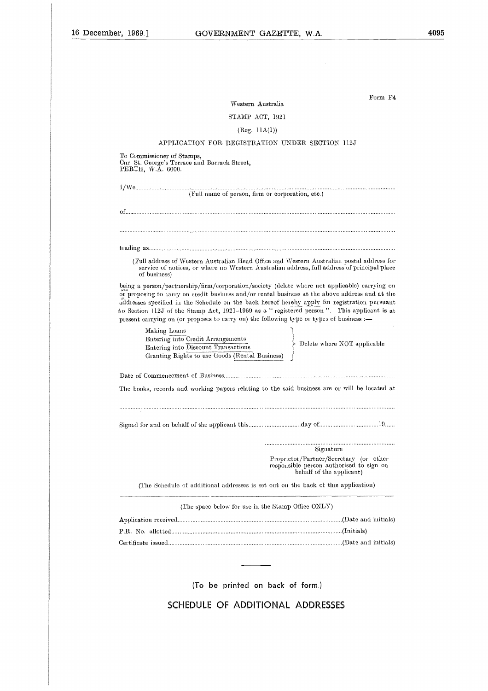Western Australia

# STAMP ACT, 1921

# (Reg. 11A(1))

# APPLICATION FOR REGISTRATION UNDER SECTION 112J

To Commissioner of Stamps, Cnr. St. George's Terrace and Barrack Street, PERTH, W.A. 6000.

| (Full name of person, firm or corporation, etc.)                                                                                                                                                                                                                                                                                                                                                                                                                                            |                                                                                                                |
|---------------------------------------------------------------------------------------------------------------------------------------------------------------------------------------------------------------------------------------------------------------------------------------------------------------------------------------------------------------------------------------------------------------------------------------------------------------------------------------------|----------------------------------------------------------------------------------------------------------------|
|                                                                                                                                                                                                                                                                                                                                                                                                                                                                                             |                                                                                                                |
|                                                                                                                                                                                                                                                                                                                                                                                                                                                                                             |                                                                                                                |
|                                                                                                                                                                                                                                                                                                                                                                                                                                                                                             |                                                                                                                |
| (Full address of Western Australian Head Office and Western Australian postal address for<br>service of notices, or where no Western Australian address, full address of principal place<br>of business)                                                                                                                                                                                                                                                                                    |                                                                                                                |
| being a person/partnership/firm/corporation/society (delete where not applicable) carrying on<br>or proposing to carry on credit business and/or rental business at the above address and at the<br>addresses specified in the Schedule on the back hereof hereby apply for registration pursuant<br>to Section 112J of the Stamp Act, 1921-1969 as a "registered person". This applicant is at<br>present carrying on (or proposes to carry on) the following type or types of business :- |                                                                                                                |
| Making Loans<br>Entering into Credit Arrangements<br>Entering into Discount Transactions<br>Granting Rights to use Goods (Rental Business)                                                                                                                                                                                                                                                                                                                                                  | Delete where NOT applicable                                                                                    |
|                                                                                                                                                                                                                                                                                                                                                                                                                                                                                             |                                                                                                                |
| The books, records and working papers relating to the said business are or will be located at                                                                                                                                                                                                                                                                                                                                                                                               |                                                                                                                |
|                                                                                                                                                                                                                                                                                                                                                                                                                                                                                             |                                                                                                                |
|                                                                                                                                                                                                                                                                                                                                                                                                                                                                                             |                                                                                                                |
|                                                                                                                                                                                                                                                                                                                                                                                                                                                                                             | Signature                                                                                                      |
|                                                                                                                                                                                                                                                                                                                                                                                                                                                                                             | Proprietor/Partner/Secretary (or other<br>responsible person authorised to sign on<br>behalf of the applicant) |
| (The Schedule of additional addresses is set out on the back of this application)                                                                                                                                                                                                                                                                                                                                                                                                           |                                                                                                                |
| (The space below for use in the Stamp Office ONLY)                                                                                                                                                                                                                                                                                                                                                                                                                                          |                                                                                                                |
|                                                                                                                                                                                                                                                                                                                                                                                                                                                                                             |                                                                                                                |
|                                                                                                                                                                                                                                                                                                                                                                                                                                                                                             |                                                                                                                |
|                                                                                                                                                                                                                                                                                                                                                                                                                                                                                             |                                                                                                                |
|                                                                                                                                                                                                                                                                                                                                                                                                                                                                                             |                                                                                                                |
|                                                                                                                                                                                                                                                                                                                                                                                                                                                                                             |                                                                                                                |
| (To be printed on back of form.)                                                                                                                                                                                                                                                                                                                                                                                                                                                            |                                                                                                                |
| SCHEDULE OF ADDITIONAL ADDRESSES                                                                                                                                                                                                                                                                                                                                                                                                                                                            |                                                                                                                |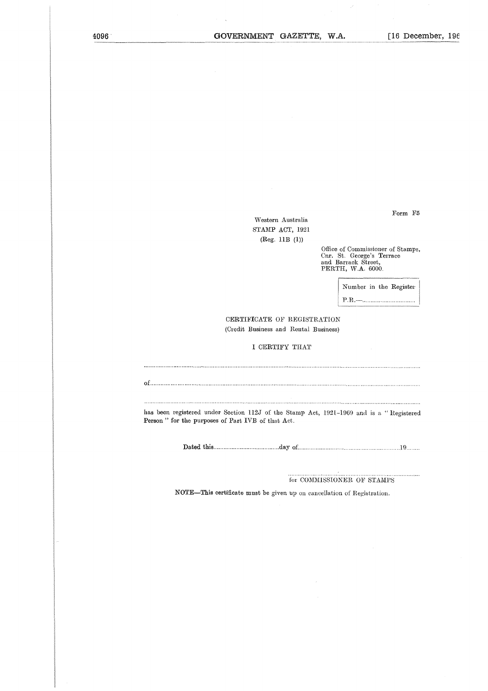Western Australia STAMP ACT, 1921 (Reg. 11B (1))

> Office of Commissioner of Stamps, Cnr. St. George's Terrace and Barrack Street, PERTH, W.A. 6000.

> > Number in the Register

P.R.

CERTIFICATE OF REGISTRATION (Credit Business and Rental Business)

# I CERTIFY THAT

of 

has been registered under Section 112J of the Stamp Act, 1921-1969 and is a " Registered Person " for the purposes of Part IVB of that Act. Maximum Communication (123) of the Stamp Act, 1921–1969 and is a "Registed purposes of Part IVB of that Act.<br>Dated this matching and the Stamp Act, 1921–1969 and is a "Registed purposes of Part IVB of that Act.

for COMMISSIONER OF STAMPS

NOTE—This certificate must be given up on cancellation of Registration.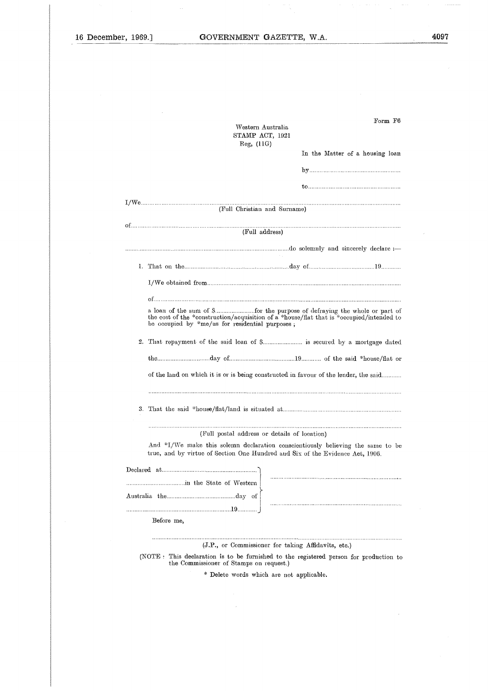l,

|    | Western Australia<br>STAMP ACT, 1921                                                                                                           | Form F6                         |
|----|------------------------------------------------------------------------------------------------------------------------------------------------|---------------------------------|
|    | Reg. (11G)                                                                                                                                     | In the Matter of a housing loan |
|    |                                                                                                                                                |                                 |
|    |                                                                                                                                                |                                 |
|    |                                                                                                                                                |                                 |
|    | (Full Christian and Surname)                                                                                                                   |                                 |
|    | (Full address)                                                                                                                                 |                                 |
|    |                                                                                                                                                |                                 |
|    | 1. That on the manufacture communication and day of manufacture 19 minutes.                                                                    |                                 |
|    |                                                                                                                                                |                                 |
|    |                                                                                                                                                |                                 |
|    | the cost of the *construction/acquisition of a *house/flat that is *cecupied/intended to<br>be occupied by $*$ me/us for residential purposes, |                                 |
| 2. | That repayment of the said loan of \$ is secured by a mortgage dated                                                                           |                                 |
|    |                                                                                                                                                |                                 |
|    | of the land on which it is or is being constructed in favour of the lender, the said                                                           |                                 |
|    |                                                                                                                                                |                                 |
| 3. |                                                                                                                                                |                                 |
|    |                                                                                                                                                |                                 |
|    | (Full postal address or details of location)<br>And *I/We make this solemn declaration conscientiously believing the same to be                |                                 |
|    | true, and by virtue of Section One Hundred and Six of the Evidence Act, 1906.                                                                  |                                 |
|    |                                                                                                                                                |                                 |
|    | in the State of Western                                                                                                                        |                                 |
|    |                                                                                                                                                |                                 |
|    |                                                                                                                                                |                                 |
|    | Before me,                                                                                                                                     |                                 |
|    | (J.P., or Commissioner for taking Affidavits, etc.)                                                                                            |                                 |
|    | (NOTE : This declaration is to be furnished to the registered person for production to                                                         |                                 |
|    | the Commissioner of Stamps on request.)<br>* Delete words which are not applicable.                                                            |                                 |
|    |                                                                                                                                                |                                 |
|    |                                                                                                                                                |                                 |
|    |                                                                                                                                                |                                 |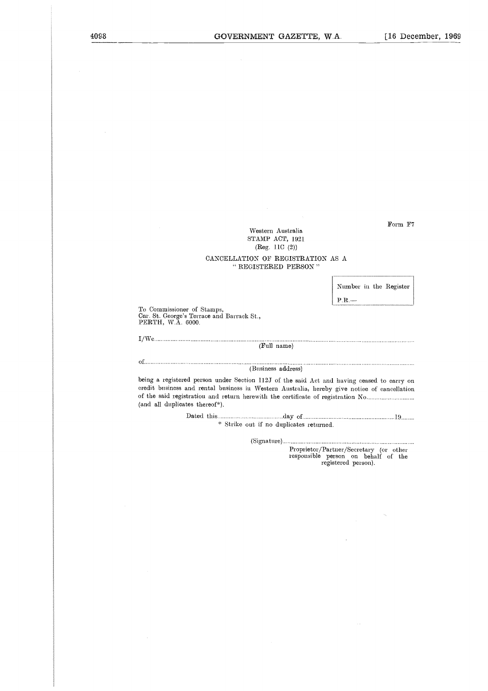Western Australia STAMP ACT, 1921 (Reg. 11C (2))

# CANCELLATION OF REGISTRATION AS A " REGISTERED PERSON "

Number in the Register  $P.R.$ —

To Commissioner of Stamps, Cur. St. George's Terrace and Barrack St., PERTH, W.A. 6000. To Con<br>Cnr. St<br>PERT<br>I/We..<br>of........ To<br>Cn1<br>I/V<br>of..<br>bei:

(Full name)

#### (Business address)

being a registered person under Section 112J of the said Act and having ceased to carry on credit business and rental business in Western Australia, hereby give notice of cancellation of the said registration and return herewith the certificate of registration No (and all duplicates thereof\*). ...<br>...<br>...<br>... d person urged the person of the state of  $\mathbb{R}$ . day of <sup>19</sup> 

\* Strike out if no duplicates returned.

(Signature)

Proprietor/Partner/Secretary (or other responsible person on behalf of the registered person).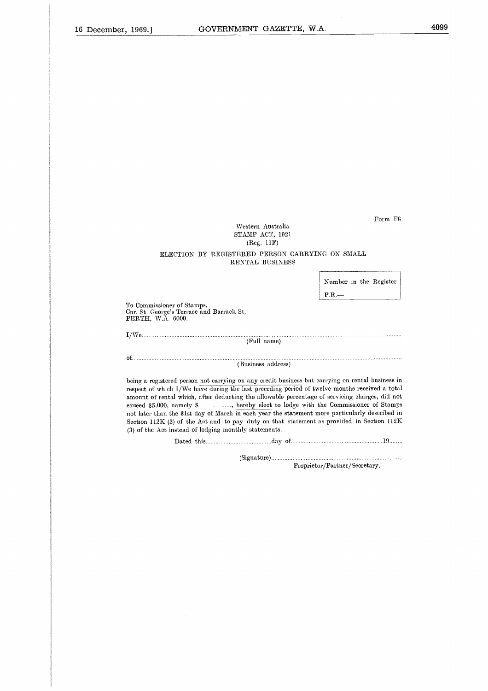Western Australia STAMP ACT, 1921 (Reg. 11F)

# ELECTION BY REGISTERED PERSON CARRYING ON SMALL RENTAL BUSINESS

Number in the Register

P.R.—

To Commissioner of Stamps, Cnr. St. George's Terrace and Barrack St, PERTH, W.A. 6000. To Cor<br>Cnr. St<br>PERT.<br>I/We..<br>of........ To<br>Chr<br>I/V<br>of..<br>bei

(Full name)

(Business address)

being a registered person not carrying on any credit business but carrying on rental business in respect of which I/We have during the last preceding period of twelve months received a total amount of rental which, after deducting the allowable percentage of servicing charges, did not PERTH, W.A. 6000.<br>
(Full name)<br>
(Full name)<br>
(Business address)<br>
being a registered person not carrying on any credit business but carrying on rental business in<br>
respect of which I/We have during the last preceding period not later than the 31st day of March in each year the statement more particularly described in Section 112K (2) of the Act and to pay duty on that statement as provided in Section 112K (3) of the Act instead of lodging monthly statements. (Business address)<br>
(Business address)<br>
1 person not carrying on any credit business but carrying on rental business<br>
1/We have during the last preceding period of twelve months received a t<br>
1 which, after deducting the a .i |<br>| a i | d<br>| d | d | d

(Signature)

Proprietor/Partner/Secretary.